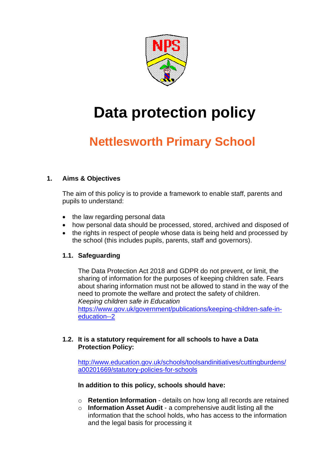

# **Data protection policy**

# **Nettlesworth Primary School**

# **1. Aims & Objectives**

The aim of this policy is to provide a framework to enable staff, parents and pupils to understand:

- the law regarding personal data
- how personal data should be processed, stored, archived and disposed of
- the rights in respect of people whose data is being held and processed by the school (this includes pupils, parents, staff and governors).

# **1.1. Safeguarding**

The Data Protection Act 2018 and GDPR do not prevent, or limit, the sharing of information for the purposes of keeping children safe. Fears about sharing information must not be allowed to stand in the way of the need to promote the welfare and protect the safety of children. *Keeping children safe in Education* 

[https://www.gov.uk/government/publications/keeping-children-safe-in](https://www.gov.uk/government/publications/keeping-children-safe-in-education--2)[education--2](https://www.gov.uk/government/publications/keeping-children-safe-in-education--2)

# **1.2. It is a statutory requirement for all schools to have a Data Protection Policy:**

[http://www.education.gov.uk/schools/toolsandinitiatives/cuttingburdens/](http://www.education.gov.uk/schools/toolsandinitiatives/cuttingburdens/a00201669/statutory-policies-for-schools) [a00201669/statutory-policies-for-schools](http://www.education.gov.uk/schools/toolsandinitiatives/cuttingburdens/a00201669/statutory-policies-for-schools)

### **In addition to this policy, schools should have:**

- o **Retention Information**  details on how long all records are retained
- o **Information Asset Audit**  a comprehensive audit listing all the information that the school holds, who has access to the information and the legal basis for processing it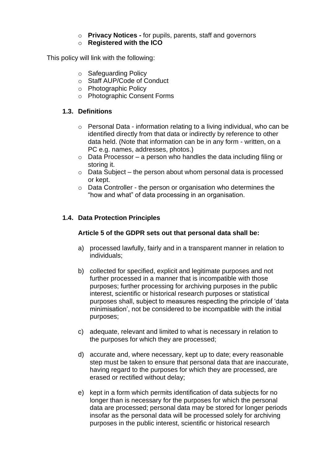- o **Privacy Notices -** for pupils, parents, staff and governors
- o **Registered with the ICO**

This policy will link with the following:

- o Safeguarding Policy
- o Staff AUP/Code of Conduct
- o Photographic Policy
- o Photographic Consent Forms

# **1.3. Definitions**

- o Personal Data information relating to a living individual, who can be identified directly from that data or indirectly by reference to other data held. (Note that information can be in any form - written, on a PC e.g. names, addresses, photos.)
- $\circ$  Data Processor a person who handles the data including filing or storing it.
- $\circ$  Data Subject the person about whom personal data is processed or kept.
- o Data Controller the person or organisation who determines the "how and what" of data processing in an organisation.

# **1.4. Data Protection Principles**

### **Article 5 of the GDPR sets out that personal data shall be:**

- a) processed lawfully, fairly and in a transparent manner in relation to individuals;
- b) collected for specified, explicit and legitimate purposes and not further processed in a manner that is incompatible with those purposes; further processing for archiving purposes in the public interest, scientific or historical research purposes or statistical purposes shall, subject to measures respecting the principle of 'data minimisation', not be considered to be incompatible with the initial purposes;
- c) adequate, relevant and limited to what is necessary in relation to the purposes for which they are processed;
- d) accurate and, where necessary, kept up to date; every reasonable step must be taken to ensure that personal data that are inaccurate, having regard to the purposes for which they are processed, are erased or rectified without delay;
- e) kept in a form which permits identification of data subjects for no longer than is necessary for the purposes for which the personal data are processed; personal data may be stored for longer periods insofar as the personal data will be processed solely for archiving purposes in the public interest, scientific or historical research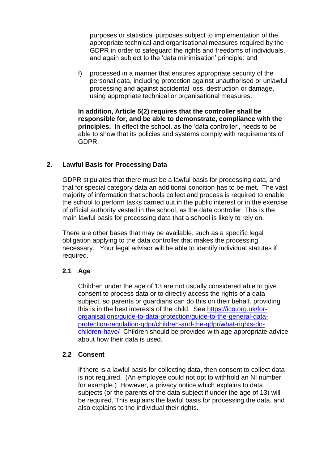purposes or statistical purposes subject to implementation of the appropriate technical and organisational measures required by the GDPR in order to safeguard the rights and freedoms of individuals, and again subject to the 'data minimisation' principle; and

f) processed in a manner that ensures appropriate security of the personal data, including protection against unauthorised or unlawful processing and against accidental loss, destruction or damage, using appropriate technical or organisational measures.

**In addition, Article 5(2) requires that the controller shall be responsible for, and be able to demonstrate, compliance with the principles.** In effect the school, as the 'data controller', needs to be able to show that its policies and systems comply with requirements of GDPR.

# **2. Lawful Basis for Processing Data**

GDPR stipulates that there must be a lawful basis for processing data, and that for special category data an additional condition has to be met. The vast majority of information that schools collect and process is required to enable the school to perform tasks carried out in the public interest or in the exercise of official authority vested in the school, as the data controller. This is the main lawful basis for processing data that a school is likely to rely on.

There are other bases that may be available, such as a specific legal obligation applying to the data controller that makes the processing necessary.Your legal advisor will be able to identify individual statutes if required.

### **2.1 Age**

Children under the age of 13 are not usually considered able to give consent to process data or to directly access the rights of a data subject, so parents or guardians can do this on their behalf, providing this is in the best interests of the child. See [https://ico.org.uk/for](https://ico.org.uk/for-organisations/guide-to-data-protection/guide-to-the-general-data-protection-regulation-gdpr/children-and-the-gdpr/what-rights-do-children-have/)[organisations/guide-to-data-protection/guide-to-the-general-data](https://ico.org.uk/for-organisations/guide-to-data-protection/guide-to-the-general-data-protection-regulation-gdpr/children-and-the-gdpr/what-rights-do-children-have/)[protection-regulation-gdpr/children-and-the-gdpr/what-rights-do](https://ico.org.uk/for-organisations/guide-to-data-protection/guide-to-the-general-data-protection-regulation-gdpr/children-and-the-gdpr/what-rights-do-children-have/)[children-have/](https://ico.org.uk/for-organisations/guide-to-data-protection/guide-to-the-general-data-protection-regulation-gdpr/children-and-the-gdpr/what-rights-do-children-have/) Children should be provided with age appropriate advice about how their data is used.

### 2.2 Consent

If there is a lawful basis for collecting data, then consent to collect data is not required. (An employee could not opt to withhold an NI number for example.) However, a privacy notice which explains to data subjects (or the parents of the data subject if under the age of 13) will be required. This explains the lawful basis for processing the data, and also explains to the individual their rights.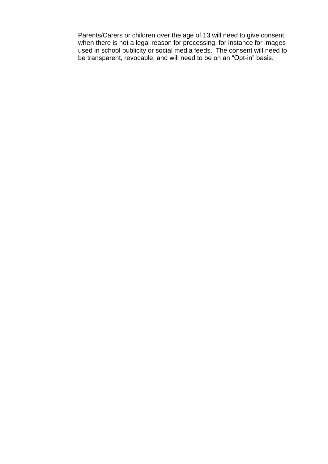Parents/Carers or children over the age of 13 will need to give consent when there is not a legal reason for processing, for instance for images used in school publicity or social media feeds. The consent will need to be transparent, revocable, and will need to be on an "Opt-in" basis.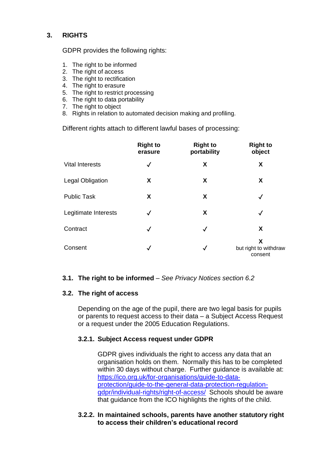# **3. RIGHTS**

GDPR provides the following rights:

- 1. The right to be informed
- 2. The right of access
- 3. The right to rectification
- 4. The right to erasure
- 5. The right to restrict processing
- 6. The right to data portability
- 7. The right to object
- 8. Rights in relation to automated decision making and profiling.

Different rights attach to different lawful bases of processing:

|                         | <b>Right to</b><br>erasure | <b>Right to</b><br>portability | <b>Right to</b><br>object             |
|-------------------------|----------------------------|--------------------------------|---------------------------------------|
| <b>Vital Interests</b>  | $\checkmark$               | X                              | X                                     |
| <b>Legal Obligation</b> | X                          | X                              | X                                     |
| <b>Public Task</b>      | X                          | X                              | $\checkmark$                          |
| Legitimate Interests    | $\checkmark$               | X                              | $\checkmark$                          |
| Contract                | $\checkmark$               | $\checkmark$                   | X                                     |
| Consent                 | $\checkmark$               | $\checkmark$                   | X<br>but right to withdraw<br>consent |

### **3.1. The right to be informed** – *See Privacy Notices section 6.2*

### **3.2. The right of access**

Depending on the age of the pupil, there are two legal basis for pupils or parents to request access to their data – a Subject Access Request or a request under the 2005 Education Regulations.

### **3.2.1. Subject Access request under GDPR**

GDPR gives individuals the right to access any data that an organisation holds on them. Normally this has to be completed within 30 days without charge. Further guidance is available at: [https://ico.org.uk/for-organisations/guide-to-data](https://ico.org.uk/for-organisations/guide-to-data-protection/guide-to-the-general-data-protection-regulation-gdpr/individual-rights/right-of-access/)[protection/guide-to-the-general-data-protection-regulation](https://ico.org.uk/for-organisations/guide-to-data-protection/guide-to-the-general-data-protection-regulation-gdpr/individual-rights/right-of-access/)[gdpr/individual-rights/right-of-access/](https://ico.org.uk/for-organisations/guide-to-data-protection/guide-to-the-general-data-protection-regulation-gdpr/individual-rights/right-of-access/) Schools should be aware that guidance from the ICO highlights the rights of the child.

### **3.2.2. In maintained schools, parents have another statutory right to access their children's educational record**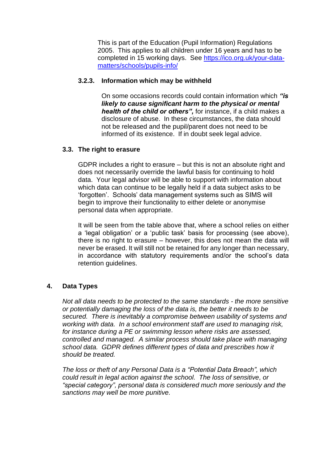This is part of the Education (Pupil Information) Regulations 2005. This applies to all children under 16 years and has to be completed in 15 working days. See [https://ico.org.uk/your-data](https://ico.org.uk/your-data-matters/schools/pupils-info/)[matters/schools/pupils-info/](https://ico.org.uk/your-data-matters/schools/pupils-info/) 

# **3.2.3. Information which may be withheld**

On some occasions records could contain information which *"is likely to cause significant harm to the physical or mental health of the child or others",* for instance, if a child makes a disclosure of abuse. In these circumstances, the data should not be released and the pupil/parent does not need to be informed of its existence. If in doubt seek legal advice.

### **3.3. The right to erasure**

GDPR includes a right to erasure – but this is not an absolute right and does not necessarily override the lawful basis for continuing to hold data. Your legal advisor will be able to support with information about which data can continue to be legally held if a data subject asks to be 'forgotten'. Schools' data management systems such as SIMS will begin to improve their functionality to either delete or anonymise personal data when appropriate.

It will be seen from the table above that, where a school relies on either a 'legal obligation' or a 'public task' basis for processing (see above), there is no right to erasure – however, this does not mean the data will never be erased. It will still not be retained for any longer than necessary, in accordance with statutory requirements and/or the school's data retention guidelines.

### **4. Data Types**

*Not all data needs to be protected to the same standards - the more sensitive or potentially damaging the loss of the data is, the better it needs to be secured. There is inevitably a compromise between usability of systems and working with data. In a school environment staff are used to managing risk, for instance during a PE or swimming lesson where risks are assessed, controlled and managed. A similar process should take place with managing school data. GDPR defines different types of data and prescribes how it should be treated.*

*The loss or theft of any Personal Data is a "Potential Data Breach", which could result in legal action against the school. The loss of sensitive, or "special category", personal data is considered much more seriously and the sanctions may well be more punitive.*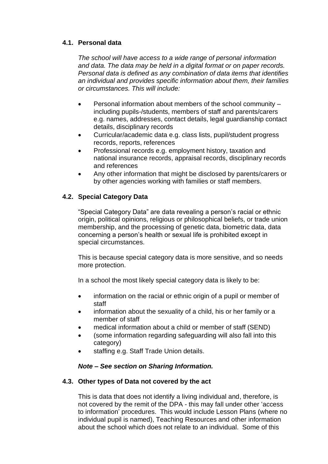# **4.1. Personal data**

*The school will have access to a wide range of personal information and data. The data may be held in a digital format or on paper records. Personal data is defined as any combination of data items that identifies an individual and provides specific information about them, their families or circumstances. This will include:*

- Personal information about members of the school community including pupils-/students, members of staff and parents/carers e.g. names, addresses, contact details, legal guardianship contact details, disciplinary records
- Curricular/academic data e.g. class lists, pupil/student progress records, reports, references
- Professional records e.g. employment history, taxation and national insurance records, appraisal records, disciplinary records and references
- Any other information that might be disclosed by parents/carers or by other agencies working with families or staff members.

# **4.2. Special Category Data**

"Special Category Data" are data revealing a person's racial or ethnic origin, political opinions, religious or philosophical beliefs, or trade union membership, and the processing of genetic data, biometric data, data concerning a person's health or sexual life is prohibited except in special circumstances.

This is because special category data is more sensitive, and so needs more protection.

In a school the most likely special category data is likely to be:

- information on the racial or ethnic origin of a pupil or member of staff
- information about the sexuality of a child, his or her family or a member of staff
- medical information about a child or member of staff (SEND)
- (some information regarding safeguarding will also fall into this category)
- staffing e.g. Staff Trade Union details.

# *Note – See section on Sharing Information.*

# **4.3. Other types of Data not covered by the act**

This is data that does not identify a living individual and, therefore, is not covered by the remit of the DPA - this may fall under other 'access to information' procedures. This would include Lesson Plans (where no individual pupil is named), Teaching Resources and other information about the school which does not relate to an individual. Some of this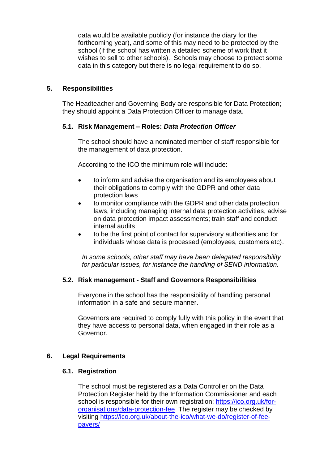data would be available publicly (for instance the diary for the forthcoming year), and some of this may need to be protected by the school (if the school has written a detailed scheme of work that it wishes to sell to other schools). Schools may choose to protect some data in this category but there is no legal requirement to do so.

# **5. Responsibilities**

The Headteacher and Governing Body are responsible for Data Protection; they should appoint a Data Protection Officer to manage data.

# **5.1. Risk Management – Roles:** *Data Protection Officer*

The school should have a nominated member of staff responsible for the management of data protection.

According to the ICO the minimum role will include:

- to inform and advise the organisation and its employees about their obligations to comply with the GDPR and other data protection laws
- to monitor compliance with the GDPR and other data protection laws, including managing internal data protection activities, advise on data protection impact assessments; train staff and conduct internal audits
- to be the first point of contact for supervisory authorities and for individuals whose data is processed (employees, customers etc).

*In some schools, other staff may have been delegated responsibility for particular issues, for instance the handling of SEND information.*

### **5.2. Risk management - Staff and Governors Responsibilities**

Everyone in the school has the responsibility of handling personal information in a safe and secure manner.

Governors are required to comply fully with this policy in the event that they have access to personal data, when engaged in their role as a Governor.

# **6. Legal Requirements**

### **6.1. Registration**

The school must be registered as a Data Controller on the Data Protection Register held by the Information Commissioner and each school is responsible for their own registration: https://ico.org.uk/fororganisations/data-protection-fee The register may be checked by visiting [https://ico.org.uk/about-the-ico/what-we-do/register-of-fee](https://ico.org.uk/about-the-ico/what-we-do/register-of-fee-payers/)[payers/](https://ico.org.uk/about-the-ico/what-we-do/register-of-fee-payers/)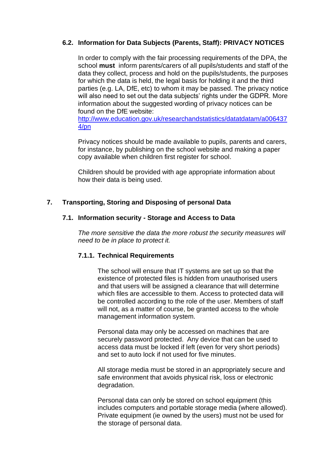# **6.2. Information for Data Subjects (Parents, Staff): PRIVACY NOTICES**

In order to comply with the fair processing requirements of the DPA, the school **must** inform parents/carers of all pupils/students and staff of the data they collect, process and hold on the pupils/students, the purposes for which the data is held, the legal basis for holding it and the third parties (e.g. LA, DfE, etc) to whom it may be passed. The privacy notice will also need to set out the data subjects' rights under the GDPR. More information about the suggested wording of privacy notices can be found on the DfE website:

[http://www.education.gov.uk/researchandstatistics/datatdatam/a006437](http://www.education.gov.uk/researchandstatistics/datatdatam/a0064374/pn) [4/pn](http://www.education.gov.uk/researchandstatistics/datatdatam/a0064374/pn)

Privacy notices should be made available to pupils, parents and carers, for instance, by publishing on the school website and making a paper copy available when children first register for school.

Children should be provided with age appropriate information about how their data is being used.

# **7. Transporting, Storing and Disposing of personal Data**

#### **7.1. Information security - Storage and Access to Data**

*The more sensitive the data the more robust the security measures will need to be in place to protect it.*

### **7.1.1. Technical Requirements**

The school will ensure that IT systems are set up so that the existence of protected files is hidden from unauthorised users and that users will be assigned a clearance that will determine which files are accessible to them. Access to protected data will be controlled according to the role of the user. Members of staff will not, as a matter of course, be granted access to the whole management information system.

Personal data may only be accessed on machines that are securely password protected. Any device that can be used to access data must be locked if left (even for very short periods) and set to auto lock if not used for five minutes.

All storage media must be stored in an appropriately secure and safe environment that avoids physical risk, loss or electronic degradation.

Personal data can only be stored on school equipment (this includes computers and portable storage media (where allowed). Private equipment (ie owned by the users) must not be used for the storage of personal data.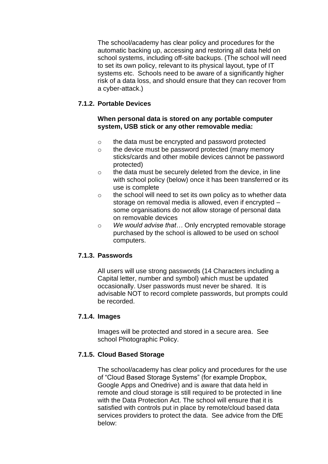The school/academy has clear policy and procedures for the automatic backing up, accessing and restoring all data held on school systems, including off-site backups. (The school will need to set its own policy, relevant to its physical layout, type of IT systems etc. Schools need to be aware of a significantly higher risk of a data loss, and should ensure that they can recover from a cyber-attack.)

# **7.1.2. Portable Devices**

# **When personal data is stored on any portable computer system, USB stick or any other removable media:**

- o the data must be encrypted and password protected
- o the device must be password protected (many memory sticks/cards and other mobile devices cannot be password protected)
- o the data must be securely deleted from the device, in line with school policy (below) once it has been transferred or its use is complete
- o the school will need to set its own policy as to whether data storage on removal media is allowed, even if encrypted – some organisations do not allow storage of personal data on removable devices
- o *We would advise that…* Only encrypted removable storage purchased by the school is allowed to be used on school computers.

# **7.1.3. Passwords**

All users will use strong passwords (14 Characters including a Capital letter, number and symbol) which must be updated occasionally. User passwords must never be shared. It is advisable NOT to record complete passwords, but prompts could be recorded.

### **7.1.4. Images**

Images will be protected and stored in a secure area. See school Photographic Policy.

# **7.1.5. Cloud Based Storage**

The school/academy has clear policy and procedures for the use of "Cloud Based Storage Systems" (for example Dropbox, Google Apps and Onedrive) and is aware that data held in remote and cloud storage is still required to be protected in line with the Data Protection Act. The school will ensure that it is satisfied with controls put in place by remote/cloud based data services providers to protect the data. See advice from the DfE below: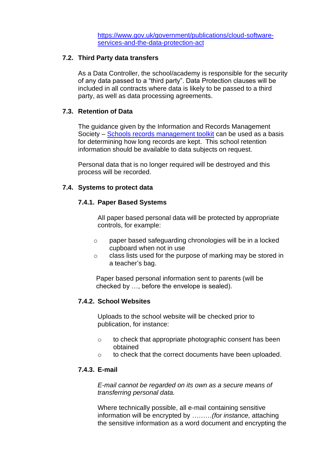[https://www.gov.uk/government/publications/cloud-software](https://www.gov.uk/government/publications/cloud-software-services-and-the-data-protection-act)[services-and-the-data-protection-act](https://www.gov.uk/government/publications/cloud-software-services-and-the-data-protection-act)

#### **7.2. Third Party data transfers**

As a Data Controller, the school/academy is responsible for the security of any data passed to a "third party". Data Protection clauses will be included in all contracts where data is likely to be passed to a third party, as well as data processing agreements.

# **7.3. Retention of Data**

The guidance given by the Information and Records Management Society – [Schools records management toolkit](https://irms.site-ym.com/page/SchoolsToolkit) can be used as a basis for determining how long records are kept. This school retention information should be available to data subjects on request.

Personal data that is no longer required will be destroyed and this process will be recorded.

#### **7.4. Systems to protect data**

#### **7.4.1. Paper Based Systems**

All paper based personal data will be protected by appropriate controls, for example:

- o paper based safeguarding chronologies will be in a locked cupboard when not in use
- o class lists used for the purpose of marking may be stored in a teacher's bag.

Paper based personal information sent to parents (will be checked by …, before the envelope is sealed).

# **7.4.2. School Websites**

Uploads to the school website will be checked prior to publication, for instance:

- o to check that appropriate photographic consent has been obtained
- o to check that the correct documents have been uploaded.

#### **7.4.3. E-mail**

*E-mail cannot be regarded on its own as a secure means of transferring personal data.*

Where technically possible, all e-mail containing sensitive information will be encrypted by ………*(for instance,* attaching the sensitive information as a word document and encrypting the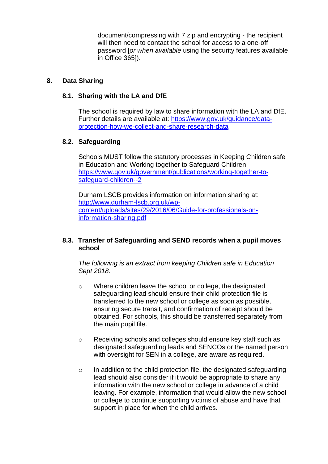document/compressing with 7 zip and encrypting - the recipient will then need to contact the school for access to a one-off password [*or when available* using the security features available in Office 365]).

# **8. Data Sharing**

# **8.1. Sharing with the LA and DfE**

The school is required by law to share information with the LA and DfE. Further details are available at: [https://www.gov.uk/guidance/data](https://www.gov.uk/guidance/data-protection-how-we-collect-and-share-research-data)[protection-how-we-collect-and-share-research-data](https://www.gov.uk/guidance/data-protection-how-we-collect-and-share-research-data)

# **8.2. Safeguarding**

Schools MUST follow the statutory processes in Keeping Children safe in Education and Working together to Safeguard Children [https://www.gov.uk/government/publications/working-together-to](https://www.gov.uk/government/publications/working-together-to-safeguard-children--2)[safeguard-children--2](https://www.gov.uk/government/publications/working-together-to-safeguard-children--2)

Durham LSCB provides information on information sharing at: [http://www.durham-lscb.org.uk/wp](http://www.durham-lscb.org.uk/wp-content/uploads/sites/29/2016/06/Guide-for-professionals-on-information-sharing.pdf)[content/uploads/sites/29/2016/06/Guide-for-professionals-on](http://www.durham-lscb.org.uk/wp-content/uploads/sites/29/2016/06/Guide-for-professionals-on-information-sharing.pdf)[information-sharing.pdf](http://www.durham-lscb.org.uk/wp-content/uploads/sites/29/2016/06/Guide-for-professionals-on-information-sharing.pdf)

### **8.3. Transfer of Safeguarding and SEND records when a pupil moves school**

*The following is an extract from keeping Children safe in Education Sept 2018.*

- o Where children leave the school or college, the designated safeguarding lead should ensure their child protection file is transferred to the new school or college as soon as possible, ensuring secure transit, and confirmation of receipt should be obtained. For schools, this should be transferred separately from the main pupil file.
- o Receiving schools and colleges should ensure key staff such as designated safeguarding leads and SENCOs or the named person with oversight for SEN in a college, are aware as required.
- $\circ$  In addition to the child protection file, the designated safeguarding lead should also consider if it would be appropriate to share any information with the new school or college in advance of a child leaving. For example, information that would allow the new school or college to continue supporting victims of abuse and have that support in place for when the child arrives.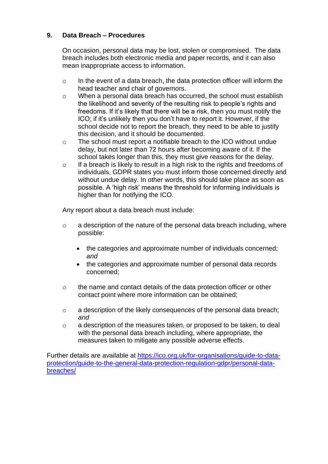# **9. Data Breach – Procedures**

On occasion, personal data may be lost, stolen or compromised. The data breach includes both electronic media and paper records, and it can also mean inappropriate access to information.

- $\circ$  In the event of a data breach, the data protection officer will inform the head teacher and chair of governors.
- o When a personal data breach has occurred, the school must establish the likelihood and severity of the resulting risk to people's rights and freedoms. If it's likely that there will be a risk, then you must notify the ICO; if it's unlikely then you don't have to report it. However, if the school decide not to report the breach, they need to be able to justify this decision, and it should be documented.
- o The school must report a notifiable breach to the ICO without undue delay, but not later than 72 hours after becoming aware of it. If the school takes longer than this, they must give reasons for the delay.
- $\circ$  If a breach is likely to result in a high risk to the rights and freedoms of individuals, GDPR states you must inform those concerned directly and without undue delay. In other words, this should take place as soon as possible. A 'high risk' means the threshold for informing individuals is higher than for notifying the ICO.

Any report about a data breach must include:

- o a description of the nature of the personal data breach including, where possible:
	- the categories and approximate number of individuals concerned; *and*
	- the categories and approximate number of personal data records concerned;
- o the name and contact details of the data protection officer or other contact point where more information can be obtained;
- o a description of the likely consequences of the personal data breach; *and*
- o a description of the measures taken, or proposed to be taken, to deal with the personal data breach including, where appropriate, the measures taken to mitigate any possible adverse effects.

Further details are available at [https://ico.org.uk/for-organisations/guide-to-data](https://ico.org.uk/for-organisations/guide-to-data-protection/guide-to-the-general-data-protection-regulation-gdpr/personal-data-breaches/)[protection/guide-to-the-general-data-protection-regulation-gdpr/personal-data](https://ico.org.uk/for-organisations/guide-to-data-protection/guide-to-the-general-data-protection-regulation-gdpr/personal-data-breaches/)[breaches/](https://ico.org.uk/for-organisations/guide-to-data-protection/guide-to-the-general-data-protection-regulation-gdpr/personal-data-breaches/)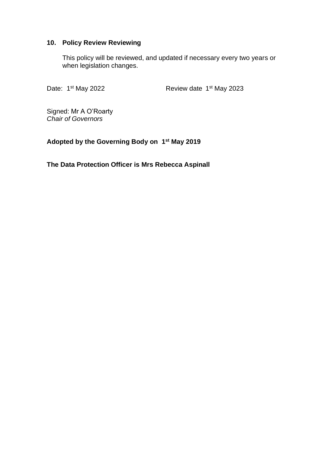# **10. Policy Review Reviewing**

This policy will be reviewed, and updated if necessary every two years or when legislation changes.

Date: 1<sup>st</sup> May 2022

<sup>st</sup> May 2022 **Review date 1<sup>st</sup> May 2023** 

Signed: Mr A O'Roarty *Chair of Governors*

**Adopted by the Governing Body on 1 st May 2019**

**The Data Protection Officer is Mrs Rebecca Aspinall**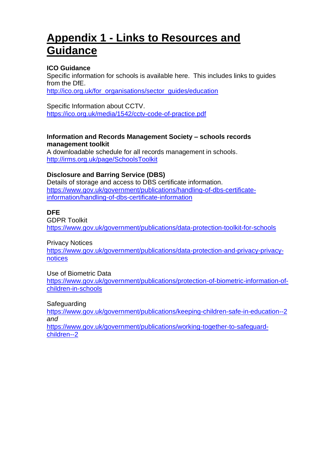# **Appendix 1 - Links to Resources and Guidance**

# **ICO Guidance**

Specific information for schools is available here. This includes links to guides from the DfE.

[http://ico.org.uk/for\\_organisations/sector\\_guides/education](http://ico.org.uk/for_organisations/sector_guides/education)

Specific Information about CCTV. <https://ico.org.uk/media/1542/cctv-code-of-practice.pdf>

### **Information and Records Management Society – schools records management toolkit**

A downloadable schedule for all records management in schools. <http://irms.org.uk/page/SchoolsToolkit>

# **Disclosure and Barring Service (DBS)**

Details of storage and access to DBS certificate information. [https://www.gov.uk/government/publications/handling-of-dbs-certificate](https://www.gov.uk/government/publications/handling-of-dbs-certificate-information/handling-of-dbs-certificate-information)[information/handling-of-dbs-certificate-information](https://www.gov.uk/government/publications/handling-of-dbs-certificate-information/handling-of-dbs-certificate-information)

# **DFE**

GDPR Toolkit <https://www.gov.uk/government/publications/data-protection-toolkit-for-schools>

Privacy Notices

[https://www.gov.uk/government/publications/data-protection-and-privacy-privacy](https://www.gov.uk/government/publications/data-protection-and-privacy-privacy-notices)[notices](https://www.gov.uk/government/publications/data-protection-and-privacy-privacy-notices)

Use of Biometric Data

[https://www.gov.uk/government/publications/protection-of-biometric-information-of](https://www.gov.uk/government/publications/protection-of-biometric-information-of-children-in-schools)[children-in-schools](https://www.gov.uk/government/publications/protection-of-biometric-information-of-children-in-schools)

Safeguarding

<https://www.gov.uk/government/publications/keeping-children-safe-in-education--2> *and* [https://www.gov.uk/government/publications/working-together-to-safeguard-](https://www.gov.uk/government/publications/working-together-to-safeguard-children--2)

[children--2](https://www.gov.uk/government/publications/working-together-to-safeguard-children--2)